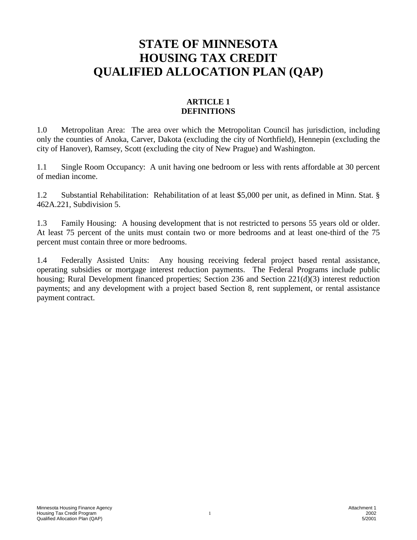# **STATE OF MINNESOTA HOUSING TAX CREDIT QUALIFIED ALLOCATION PLAN (QAP)**

# **ARTICLE 1 DEFINITIONS**

1.0 Metropolitan Area: The area over which the Metropolitan Council has jurisdiction, including only the counties of Anoka, Carver, Dakota (excluding the city of Northfield), Hennepin (excluding the city of Hanover), Ramsey, Scott (excluding the city of New Prague) and Washington.

1.1 Single Room Occupancy: A unit having one bedroom or less with rents affordable at 30 percent of median income.

1.2 Substantial Rehabilitation: Rehabilitation of at least \$5,000 per unit, as defined in Minn. Stat. § 462A.221, Subdivision 5.

1.3 Family Housing: A housing development that is not restricted to persons 55 years old or older. At least 75 percent of the units must contain two or more bedrooms and at least one-third of the 75 percent must contain three or more bedrooms.

1.4 Federally Assisted Units: Any housing receiving federal project based rental assistance, operating subsidies or mortgage interest reduction payments. The Federal Programs include public housing; Rural Development financed properties; Section 236 and Section 221(d)(3) interest reduction payments; and any development with a project based Section 8, rent supplement, or rental assistance payment contract.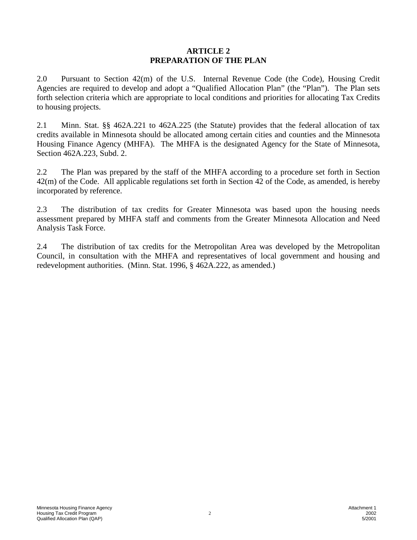### **ARTICLE 2 PREPARATION OF THE PLAN**

2.0 Pursuant to Section 42(m) of the U.S. Internal Revenue Code (the Code), Housing Credit Agencies are required to develop and adopt a "Qualified Allocation Plan" (the "Plan"). The Plan sets forth selection criteria which are appropriate to local conditions and priorities for allocating Tax Credits to housing projects.

2.1 Minn. Stat. §§ 462A.221 to 462A.225 (the Statute) provides that the federal allocation of tax credits available in Minnesota should be allocated among certain cities and counties and the Minnesota Housing Finance Agency (MHFA). The MHFA is the designated Agency for the State of Minnesota, Section 462A.223, Subd. 2.

2.2 The Plan was prepared by the staff of the MHFA according to a procedure set forth in Section 42(m) of the Code. All applicable regulations set forth in Section 42 of the Code, as amended, is hereby incorporated by reference.

2.3 The distribution of tax credits for Greater Minnesota was based upon the housing needs assessment prepared by MHFA staff and comments from the Greater Minnesota Allocation and Need Analysis Task Force.

2.4 The distribution of tax credits for the Metropolitan Area was developed by the Metropolitan Council, in consultation with the MHFA and representatives of local government and housing and redevelopment authorities. (Minn. Stat. 1996, § 462A.222, as amended.)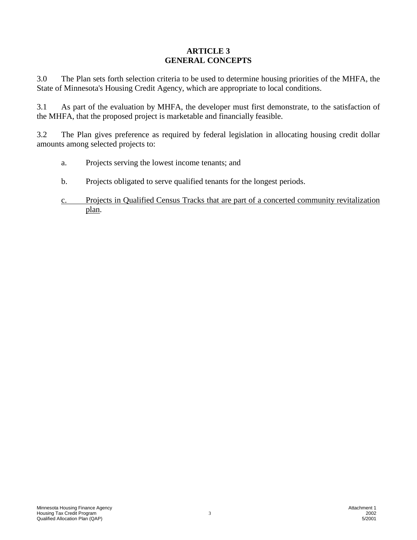# **ARTICLE 3 GENERAL CONCEPTS**

3.0 The Plan sets forth selection criteria to be used to determine housing priorities of the MHFA, the State of Minnesota's Housing Credit Agency, which are appropriate to local conditions.

3.1 As part of the evaluation by MHFA, the developer must first demonstrate, to the satisfaction of the MHFA, that the proposed project is marketable and financially feasible.

3.2 The Plan gives preference as required by federal legislation in allocating housing credit dollar amounts among selected projects to:

- a. Projects serving the lowest income tenants; and
- b. Projects obligated to serve qualified tenants for the longest periods.
- c. Projects in Qualified Census Tracks that are part of a concerted community revitalization plan.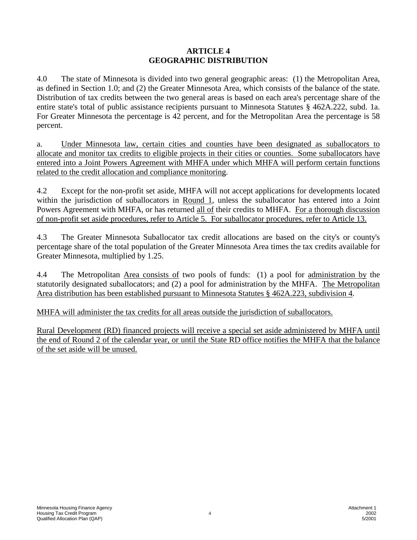# **ARTICLE 4 GEOGRAPHIC DISTRIBUTION**

4.0 The state of Minnesota is divided into two general geographic areas: (1) the Metropolitan Area, as defined in Section 1.0; and (2) the Greater Minnesota Area, which consists of the balance of the state. Distribution of tax credits between the two general areas is based on each area's percentage share of the entire state's total of public assistance recipients pursuant to Minnesota Statutes § 462A.222, subd. 1a. For Greater Minnesota the percentage is 42 percent, and for the Metropolitan Area the percentage is 58 percent.

a. Under Minnesota law, certain cities and counties have been designated as suballocators to allocate and monitor tax credits to eligible projects in their cities or counties. Some suballocators have entered into a Joint Powers Agreement with MHFA under which MHFA will perform certain functions related to the credit allocation and compliance monitoring.

4.2 Except for the non-profit set aside, MHFA will not accept applications for developments located within the jurisdiction of suballocators in Round 1, unless the suballocator has entered into a Joint Powers Agreement with MHFA, or has returned all of their credits to MHFA. For a thorough discussion of non-profit set aside procedures, refer to Article 5. For suballocator procedures, refer to Article 13.

4.3 The Greater Minnesota Suballocator tax credit allocations are based on the city's or county's percentage share of the total population of the Greater Minnesota Area times the tax credits available for Greater Minnesota, multiplied by 1.25.

4.4 The Metropolitan Area consists of two pools of funds: (1) a pool for administration by the statutorily designated suballocators; and (2) a pool for administration by the MHFA. The Metropolitan Area distribution has been established pursuant to Minnesota Statutes § 462A.223, subdivision 4.

MHFA will administer the tax credits for all areas outside the jurisdiction of suballocators.

Rural Development (RD) financed projects will receive a special set aside administered by MHFA until the end of Round 2 of the calendar year, or until the State RD office notifies the MHFA that the balance of the set aside will be unused.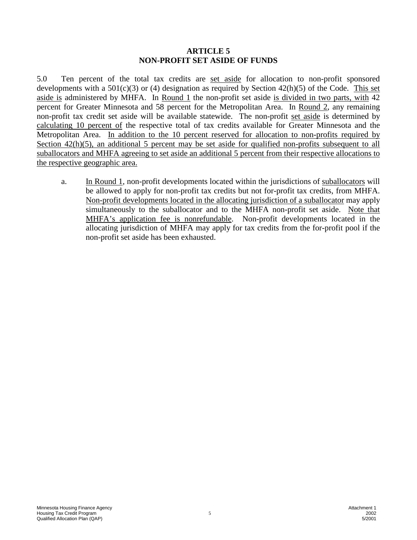#### **ARTICLE 5 NON-PROFIT SET ASIDE OF FUNDS**

5.0 Ten percent of the total tax credits are set aside for allocation to non-profit sponsored developments with a  $501(c)(3)$  or (4) designation as required by Section  $42(h)(5)$  of the Code. This set aside is administered by MHFA. In Round 1 the non-profit set aside is divided in two parts, with 42 percent for Greater Minnesota and 58 percent for the Metropolitan Area. In Round 2, any remaining non-profit tax credit set aside will be available statewide. The non-profit set aside is determined by calculating 10 percent of the respective total of tax credits available for Greater Minnesota and the Metropolitan Area. In addition to the 10 percent reserved for allocation to non-profits required by Section  $42(h)(5)$ , an additional 5 percent may be set aside for qualified non-profits subsequent to all suballocators and MHFA agreeing to set aside an additional 5 percent from their respective allocations to the respective geographic area.

a. In Round 1, non-profit developments located within the jurisdictions of suballocators will be allowed to apply for non-profit tax credits but not for-profit tax credits, from MHFA. Non-profit developments located in the allocating jurisdiction of a suballocator may apply simultaneously to the suballocator and to the MHFA non-profit set aside. Note that MHFA's application fee is nonrefundable. Non-profit developments located in the allocating jurisdiction of MHFA may apply for tax credits from the for-profit pool if the non-profit set aside has been exhausted.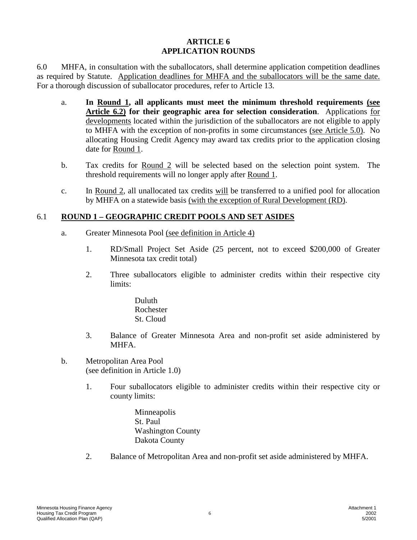## **ARTICLE 6 APPLICATION ROUNDS**

6.0 MHFA, in consultation with the suballocators, shall determine application competition deadlines as required by Statute. Application deadlines for MHFA and the suballocators will be the same date. For a thorough discussion of suballocator procedures, refer to Article 13.

- a. **In Round 1, all applicants must meet the minimum threshold requirements (see Article 6.2) for their geographic area for selection consideration**. Applications for developments located within the jurisdiction of the suballocators are not eligible to apply to MHFA with the exception of non-profits in some circumstances (see Article 5.0). No allocating Housing Credit Agency may award tax credits prior to the application closing date for Round 1.
- b. Tax credits for Round 2 will be selected based on the selection point system. The threshold requirements will no longer apply after Round 1.
- c. In Round 2, all unallocated tax credits will be transferred to a unified pool for allocation by MHFA on a statewide basis (with the exception of Rural Development (RD).

# 6.1 **ROUND 1 – GEOGRAPHIC CREDIT POOLS AND SET ASIDES**

- a. Greater Minnesota Pool (see definition in Article 4)
	- 1. RD/Small Project Set Aside (25 percent, not to exceed \$200,000 of Greater Minnesota tax credit total)
	- 2. Three suballocators eligible to administer credits within their respective city limits:

Duluth Rochester St. Cloud

- 3. Balance of Greater Minnesota Area and non-profit set aside administered by MHFA.
- b. Metropolitan Area Pool (see definition in Article 1.0)
	- 1. Four suballocators eligible to administer credits within their respective city or county limits:
		- Minneapolis St. Paul Washington County Dakota County
	- 2. Balance of Metropolitan Area and non-profit set aside administered by MHFA.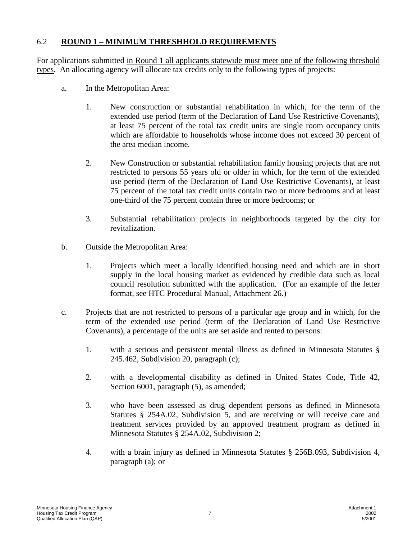# 6.2 **ROUND 1 – MINIMUM THRESHHOLD REQUIREMENTS**

For applications submitted in Round 1 all applicants statewide must meet one of the following threshold types. An allocating agency will allocate tax credits only to the following types of projects:

- a. In the Metropolitan Area:
	- 1. New construction or substantial rehabilitation in which, for the term of the extended use period (term of the Declaration of Land Use Restrictive Covenants), at least 75 percent of the total tax credit units are single room occupancy units which are affordable to households whose income does not exceed 30 percent of the area median income.
	- 2. New Construction or substantial rehabilitation family housing projects that are not restricted to persons 55 years old or older in which, for the term of the extended use period (term of the Declaration of Land Use Restrictive Covenants), at least 75 percent of the total tax credit units contain two or more bedrooms and at least one-third of the 75 percent contain three or more bedrooms; or
	- 3. Substantial rehabilitation projects in neighborhoods targeted by the city for revitalization.
- b. Outside the Metropolitan Area:
	- 1. Projects which meet a locally identified housing need and which are in short supply in the local housing market as evidenced by credible data such as local council resolution submitted with the application. (For an example of the letter format, see HTC Procedural Manual, Attachment 26.)
- c. Projects that are not restricted to persons of a particular age group and in which, for the term of the extended use period (term of the Declaration of Land Use Restrictive Covenants), a percentage of the units are set aside and rented to persons:
	- 1. with a serious and persistent mental illness as defined in Minnesota Statutes § 245.462, Subdivision 20, paragraph (c);
	- 2. with a developmental disability as defined in United States Code, Title 42, Section 6001, paragraph  $(5)$ , as amended;
	- 3. who have been assessed as drug dependent persons as defined in Minnesota Statutes § 254A.02, Subdivision 5, and are receiving or will receive care and treatment services provided by an approved treatment program as defined in Minnesota Statutes § 254A.02, Subdivision 2;
	- 4. with a brain injury as defined in Minnesota Statutes § 256B.093, Subdivision 4, paragraph (a); or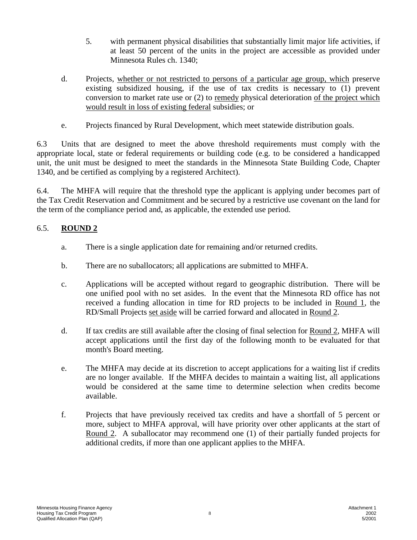- 5. with permanent physical disabilities that substantially limit major life activities, if at least 50 percent of the units in the project are accessible as provided under Minnesota Rules ch. 1340;
- d. Projects, whether or not restricted to persons of a particular age group, which preserve existing subsidized housing, if the use of tax credits is necessary to (1) prevent conversion to market rate use or  $(2)$  to remedy physical deterioration of the project which would result in loss of existing federal subsidies; or
- e. Projects financed by Rural Development, which meet statewide distribution goals.

6.3 Units that are designed to meet the above threshold requirements must comply with the appropriate local, state or federal requirements or building code (e.g. to be considered a handicapped unit, the unit must be designed to meet the standards in the Minnesota State Building Code, Chapter 1340, and be certified as complying by a registered Architect).

6.4. The MHFA will require that the threshold type the applicant is applying under becomes part of the Tax Credit Reservation and Commitment and be secured by a restrictive use covenant on the land for the term of the compliance period and, as applicable, the extended use period.

# 6.5. **ROUND 2**

- a. There is a single application date for remaining and/or returned credits.
- b. There are no suballocators; all applications are submitted to MHFA.
- c. Applications will be accepted without regard to geographic distribution. There will be one unified pool with no set asides. In the event that the Minnesota RD office has not received a funding allocation in time for RD projects to be included in Round 1, the RD/Small Projects set aside will be carried forward and allocated in Round 2.
- d. If tax credits are still available after the closing of final selection for Round 2, MHFA will accept applications until the first day of the following month to be evaluated for that month's Board meeting.
- e. The MHFA may decide at its discretion to accept applications for a waiting list if credits are no longer available. If the MHFA decides to maintain a waiting list, all applications would be considered at the same time to determine selection when credits become available.
- f. Projects that have previously received tax credits and have a shortfall of 5 percent or more, subject to MHFA approval, will have priority over other applicants at the start of Round 2. A suballocator may recommend one (1) of their partially funded projects for additional credits, if more than one applicant applies to the MHFA.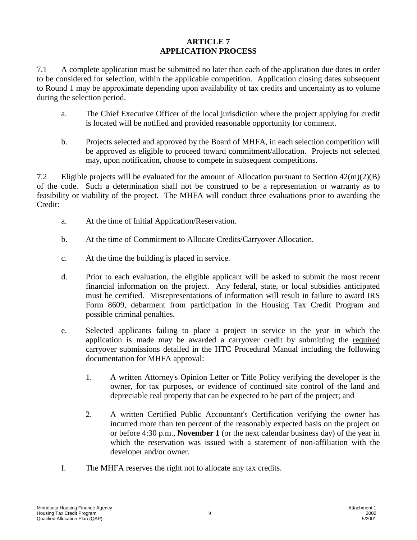# **ARTICLE 7 APPLICATION PROCESS**

7.1 A complete application must be submitted no later than each of the application due dates in order to be considered for selection, within the applicable competition. Application closing dates subsequent to Round 1 may be approximate depending upon availability of tax credits and uncertainty as to volume during the selection period.

- a. The Chief Executive Officer of the local jurisdiction where the project applying for credit is located will be notified and provided reasonable opportunity for comment.
- b. Projects selected and approved by the Board of MHFA, in each selection competition will be approved as eligible to proceed toward commitment/allocation. Projects not selected may, upon notification, choose to compete in subsequent competitions.

7.2 Eligible projects will be evaluated for the amount of Allocation pursuant to Section  $42(m)(2)(B)$ of the code. Such a determination shall not be construed to be a representation or warranty as to feasibility or viability of the project. The MHFA will conduct three evaluations prior to awarding the Credit:

- a. At the time of Initial Application/Reservation.
- b. At the time of Commitment to Allocate Credits/Carryover Allocation.
- c. At the time the building is placed in service.
- d. Prior to each evaluation, the eligible applicant will be asked to submit the most recent financial information on the project. Any federal, state, or local subsidies anticipated must be certified. Misrepresentations of information will result in failure to award IRS Form 8609, debarment from participation in the Housing Tax Credit Program and possible criminal penalties.
- e. Selected applicants failing to place a project in service in the year in which the application is made may be awarded a carryover credit by submitting the required carryover submissions detailed in the HTC Procedural Manual including the following documentation for MHFA approval:
	- 1. A written Attorney's Opinion Letter or Title Policy verifying the developer is the owner, for tax purposes, or evidence of continued site control of the land and depreciable real property that can be expected to be part of the project; and
	- 2. A written Certified Public Accountant's Certification verifying the owner has incurred more than ten percent of the reasonably expected basis on the project on or before 4:30 p.m., **November 1** (or the next calendar business day) of the year in which the reservation was issued with a statement of non-affiliation with the developer and/or owner.
- f. The MHFA reserves the right not to allocate any tax credits.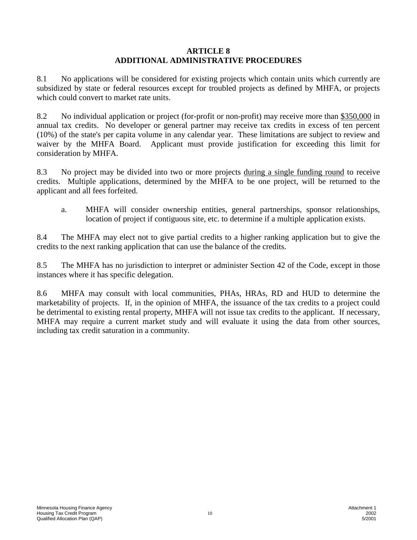## **ARTICLE 8 ADDITIONAL ADMINISTRATIVE PROCEDURES**

8.1 No applications will be considered for existing projects which contain units which currently are subsidized by state or federal resources except for troubled projects as defined by MHFA, or projects which could convert to market rate units.

8.2 No individual application or project (for-profit or non-profit) may receive more than \$350,000 in annual tax credits. No developer or general partner may receive tax credits in excess of ten percent (10%) of the state's per capita volume in any calendar year. These limitations are subject to review and waiver by the MHFA Board. Applicant must provide justification for exceeding this limit for consideration by MHFA.

8.3 No project may be divided into two or more projects during a single funding round to receive credits. Multiple applications, determined by the MHFA to be one project, will be returned to the applicant and all fees forfeited.

a. MHFA will consider ownership entities, general partnerships, sponsor relationships, location of project if contiguous site, etc. to determine if a multiple application exists.

8.4 The MHFA may elect not to give partial credits to a higher ranking application but to give the credits to the next ranking application that can use the balance of the credits.

8.5 The MHFA has no jurisdiction to interpret or administer Section 42 of the Code, except in those instances where it has specific delegation.

8.6 MHFA may consult with local communities, PHAs, HRAs, RD and HUD to determine the marketability of projects. If, in the opinion of MHFA, the issuance of the tax credits to a project could be detrimental to existing rental property, MHFA will not issue tax credits to the applicant. If necessary, MHFA may require a current market study and will evaluate it using the data from other sources, including tax credit saturation in a community.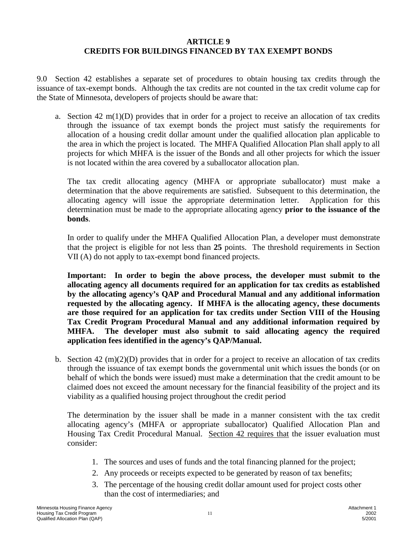# **ARTICLE 9 CREDITS FOR BUILDINGS FINANCED BY TAX EXEMPT BONDS**

9.0 Section 42 establishes a separate set of procedures to obtain housing tax credits through the issuance of tax-exempt bonds. Although the tax credits are not counted in the tax credit volume cap for the State of Minnesota, developers of projects should be aware that:

a. Section 42 m(1)(D) provides that in order for a project to receive an allocation of tax credits through the issuance of tax exempt bonds the project must satisfy the requirements for allocation of a housing credit dollar amount under the qualified allocation plan applicable to the area in which the project is located. The MHFA Qualified Allocation Plan shall apply to all projects for which MHFA is the issuer of the Bonds and all other projects for which the issuer is not located within the area covered by a suballocator allocation plan.

 The tax credit allocating agency (MHFA or appropriate suballocator) must make a determination that the above requirements are satisfied. Subsequent to this determination, the allocating agency will issue the appropriate determination letter. Application for this determination must be made to the appropriate allocating agency **prior to the issuance of the bonds**.

In order to qualify under the MHFA Qualified Allocation Plan, a developer must demonstrate that the project is eligible for not less than **25** points. The threshold requirements in Section VII (A) do not apply to tax-exempt bond financed projects.

 **Important: In order to begin the above process, the developer must submit to the allocating agency all documents required for an application for tax credits as established by the allocating agency's QAP and Procedural Manual and any additional information requested by the allocating agency. If MHFA is the allocating agency, these documents are those required for an application for tax credits under Section VIII of the Housing Tax Credit Program Procedural Manual and any additional information required by MHFA. The developer must also submit to said allocating agency the required application fees identified in the agency's QAP/Manual.** 

 b. Section 42 (m)(2)(D) provides that in order for a project to receive an allocation of tax credits through the issuance of tax exempt bonds the governmental unit which issues the bonds (or on behalf of which the bonds were issued) must make a determination that the credit amount to be claimed does not exceed the amount necessary for the financial feasibility of the project and its viability as a qualified housing project throughout the credit period

The determination by the issuer shall be made in a manner consistent with the tax credit allocating agency's (MHFA or appropriate suballocator) Qualified Allocation Plan and Housing Tax Credit Procedural Manual. Section 42 requires that the issuer evaluation must consider:

- 1. The sources and uses of funds and the total financing planned for the project;
- 2. Any proceeds or receipts expected to be generated by reason of tax benefits;
- 3. The percentage of the housing credit dollar amount used for project costs other than the cost of intermediaries; and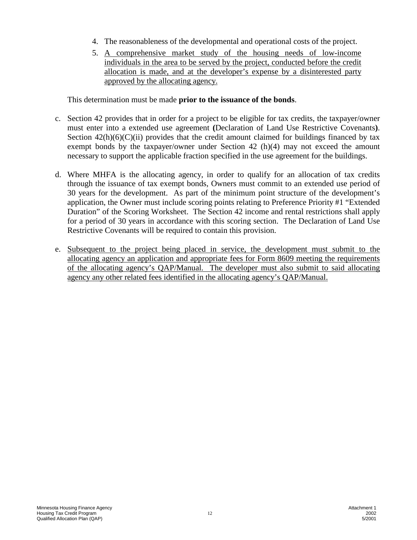- 4. The reasonableness of the developmental and operational costs of the project.
- 5. A comprehensive market study of the housing needs of low-income individuals in the area to be served by the project, conducted before the credit allocation is made, and at the developer's expense by a disinterested party approved by the allocating agency.

This determination must be made **prior to the issuance of the bonds**.

- c. Section 42 provides that in order for a project to be eligible for tax credits, the taxpayer/owner must enter into a extended use agreement **(**Declaration of Land Use Restrictive Covenants**)**. Section  $42(h)(6)(C)(ii)$  provides that the credit amount claimed for buildings financed by tax exempt bonds by the taxpayer/owner under Section 42 (h)(4) may not exceed the amount necessary to support the applicable fraction specified in the use agreement for the buildings.
- d. Where MHFA is the allocating agency, in order to qualify for an allocation of tax credits through the issuance of tax exempt bonds, Owners must commit to an extended use period of 30 years for the development. As part of the minimum point structure of the development's application, the Owner must include scoring points relating to Preference Priority #1 "Extended Duration" of the Scoring Worksheet. The Section 42 income and rental restrictions shall apply for a period of 30 years in accordance with this scoring section. The Declaration of Land Use Restrictive Covenants will be required to contain this provision.
- e. Subsequent to the project being placed in service, the development must submit to the allocating agency an application and appropriate fees for Form 8609 meeting the requirements of the allocating agency's QAP/Manual. The developer must also submit to said allocating agency any other related fees identified in the allocating agency's QAP/Manual.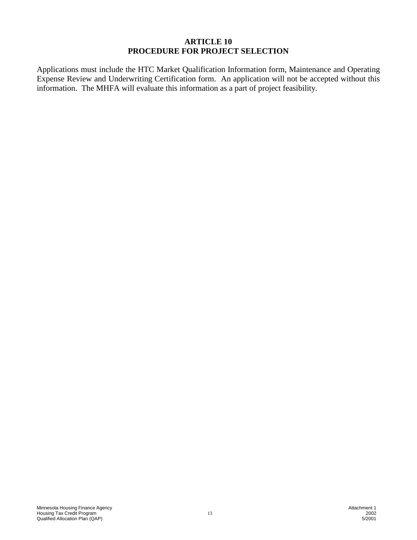## **ARTICLE 10 PROCEDURE FOR PROJECT SELECTION**

Applications must include the HTC Market Qualification Information form, Maintenance and Operating Expense Review and Underwriting Certification form. An application will not be accepted without this information. The MHFA will evaluate this information as a part of project feasibility.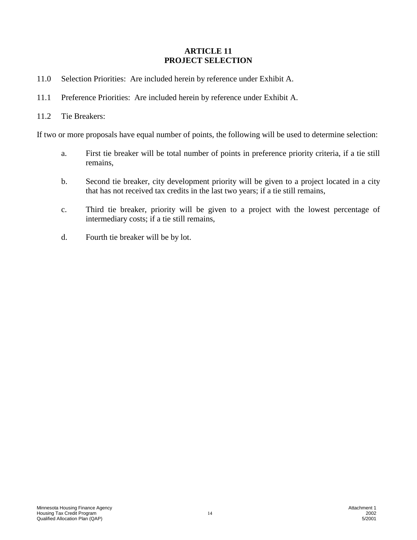# **ARTICLE 11 PROJECT SELECTION**

- 11.0 Selection Priorities: Are included herein by reference under Exhibit A.
- 11.1 Preference Priorities: Are included herein by reference under Exhibit A.
- 11.2 Tie Breakers:

If two or more proposals have equal number of points, the following will be used to determine selection:

- a. First tie breaker will be total number of points in preference priority criteria, if a tie still remains,
- b. Second tie breaker, city development priority will be given to a project located in a city that has not received tax credits in the last two years; if a tie still remains,
- c. Third tie breaker, priority will be given to a project with the lowest percentage of intermediary costs; if a tie still remains,
- d. Fourth tie breaker will be by lot.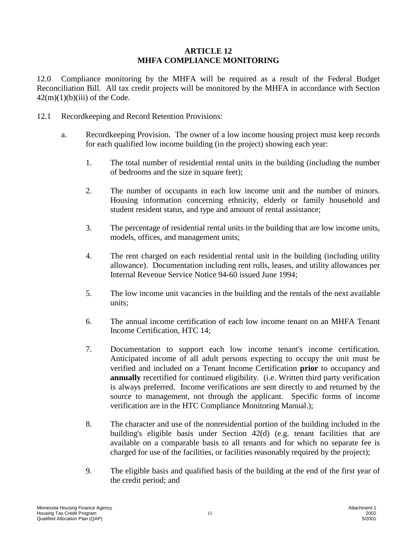# **ARTICLE 12 MHFA COMPLIANCE MONITORING**

12.0 Compliance monitoring by the MHFA will be required as a result of the Federal Budget Reconciliation Bill. All tax credit projects will be monitored by the MHFA in accordance with Section  $42(m)(1)(b)(iii)$  of the Code.

- 12.1 Recordkeeping and Record Retention Provisions:
	- a. Recordkeeping Provision. The owner of a low income housing project must keep records for each qualified low income building (in the project) showing each year:
		- 1. The total number of residential rental units in the building (including the number of bedrooms and the size in square feet);
		- 2. The number of occupants in each low income unit and the number of minors. Housing information concerning ethnicity, elderly or family household and student resident status, and type and amount of rental assistance;
		- 3. The percentage of residential rental units in the building that are low income units, models, offices, and management units;
		- 4. The rent charged on each residential rental unit in the building (including utility allowance). Documentation including rent rolls, leases, and utility allowances per Internal Revenue Service Notice 94-60 issued June 1994;
		- 5. The low income unit vacancies in the building and the rentals of the next available units;
		- 6. The annual income certification of each low income tenant on an MHFA Tenant Income Certification, HTC 14;
		- 7. Documentation to support each low income tenant's income certification. Anticipated income of all adult persons expecting to occupy the unit must be verified and included on a Tenant Income Certification **prior** to occupancy and **annually** recertified for continued eligibility. (i.e. Written third party verification is always preferred. Income verifications are sent directly to and returned by the source to management, not through the applicant. Specific forms of income verification are in the HTC Compliance Monitoring Manual.);
		- 8. The character and use of the nonresidential portion of the building included in the building's eligible basis under Section 42(d) (e.g. tenant facilities that are available on a comparable basis to all tenants and for which no separate fee is charged for use of the facilities, or facilities reasonably required by the project);
		- 9. The eligible basis and qualified basis of the building at the end of the first year of the credit period; and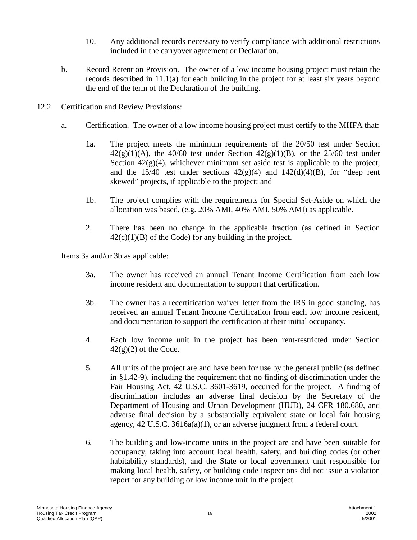- 10. Any additional records necessary to verify compliance with additional restrictions included in the carryover agreement or Declaration.
- b. Record Retention Provision. The owner of a low income housing project must retain the records described in 11.1(a) for each building in the project for at least six years beyond the end of the term of the Declaration of the building.
- 12.2 Certification and Review Provisions:
	- a. Certification. The owner of a low income housing project must certify to the MHFA that:
		- 1a. The project meets the minimum requirements of the 20/50 test under Section  $42(g)(1)(A)$ , the  $40/60$  test under Section  $42(g)(1)(B)$ , or the  $25/60$  test under Section  $42(g)(4)$ , whichever minimum set aside test is applicable to the project, and the  $15/40$  test under sections  $42(g)(4)$  and  $142(d)(4)(B)$ , for "deep rent skewed" projects, if applicable to the project; and
		- 1b. The project complies with the requirements for Special Set-Aside on which the allocation was based, (e.g. 20% AMI, 40% AMI, 50% AMI) as applicable.
		- 2. There has been no change in the applicable fraction (as defined in Section  $42(c)(1)(B)$  of the Code) for any building in the project.

Items 3a and/or 3b as applicable:

- 3a. The owner has received an annual Tenant Income Certification from each low income resident and documentation to support that certification.
- 3b. The owner has a recertification waiver letter from the IRS in good standing, has received an annual Tenant Income Certification from each low income resident, and documentation to support the certification at their initial occupancy.
- 4. Each low income unit in the project has been rent-restricted under Section  $42(g)(2)$  of the Code.
- 5. All units of the project are and have been for use by the general public (as defined in §1.42-9), including the requirement that no finding of discrimination under the Fair Housing Act, 42 U.S.C. 3601-3619, occurred for the project. A finding of discrimination includes an adverse final decision by the Secretary of the Department of Housing and Urban Development (HUD), 24 CFR 180.680, and adverse final decision by a substantially equivalent state or local fair housing agency, 42 U.S.C. 3616a(a)(1), or an adverse judgment from a federal court.
- 6. The building and low-income units in the project are and have been suitable for occupancy, taking into account local health, safety, and building codes (or other habitability standards), and the State or local government unit responsible for making local health, safety, or building code inspections did not issue a violation report for any building or low income unit in the project.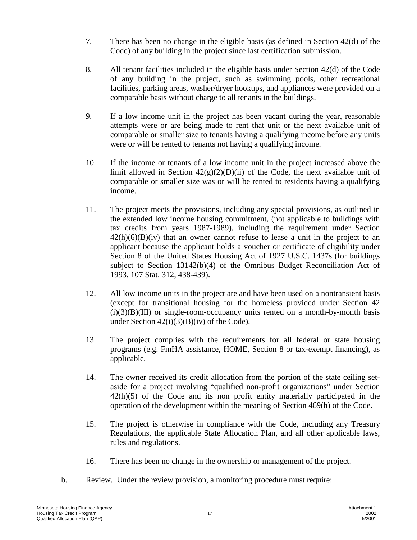- 7. There has been no change in the eligible basis (as defined in Section 42(d) of the Code) of any building in the project since last certification submission.
- 8. All tenant facilities included in the eligible basis under Section 42(d) of the Code of any building in the project, such as swimming pools, other recreational facilities, parking areas, washer/dryer hookups, and appliances were provided on a comparable basis without charge to all tenants in the buildings.
- 9. If a low income unit in the project has been vacant during the year, reasonable attempts were or are being made to rent that unit or the next available unit of comparable or smaller size to tenants having a qualifying income before any units were or will be rented to tenants not having a qualifying income.
- 10. If the income or tenants of a low income unit in the project increased above the limit allowed in Section  $42(g)(2)(D)(ii)$  of the Code, the next available unit of comparable or smaller size was or will be rented to residents having a qualifying income.
- 11. The project meets the provisions, including any special provisions, as outlined in the extended low income housing commitment, (not applicable to buildings with tax credits from years 1987-1989), including the requirement under Section  $42(h)(6)(B)(iv)$  that an owner cannot refuse to lease a unit in the project to an applicant because the applicant holds a voucher or certificate of eligibility under Section 8 of the United States Housing Act of 1927 U.S.C. 1437s (for buildings subject to Section 13142(b)(4) of the Omnibus Budget Reconciliation Act of 1993, 107 Stat. 312, 438-439).
- 12. All low income units in the project are and have been used on a nontransient basis (except for transitional housing for the homeless provided under Section 42  $(i)(3)(B)(III)$  or single-room-occupancy units rented on a month-by-month basis under Section  $42(i)(3)(B)(iv)$  of the Code).
- 13. The project complies with the requirements for all federal or state housing programs (e.g. FmHA assistance, HOME, Section 8 or tax-exempt financing), as applicable.
- 14. The owner received its credit allocation from the portion of the state ceiling setaside for a project involving "qualified non-profit organizations" under Section 42(h)(5) of the Code and its non profit entity materially participated in the operation of the development within the meaning of Section 469(h) of the Code.
- 15. The project is otherwise in compliance with the Code, including any Treasury Regulations, the applicable State Allocation Plan, and all other applicable laws, rules and regulations.
- 16. There has been no change in the ownership or management of the project.
- b. Review. Under the review provision, a monitoring procedure must require: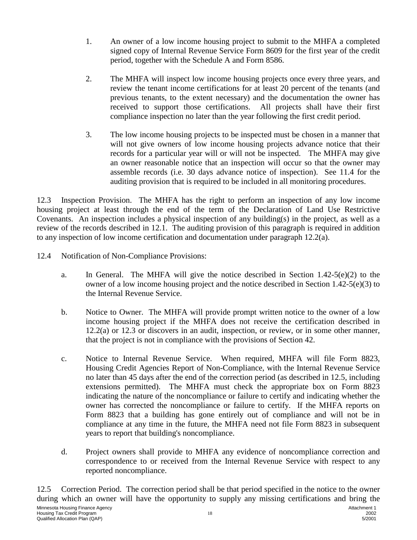- 1. An owner of a low income housing project to submit to the MHFA a completed signed copy of Internal Revenue Service Form 8609 for the first year of the credit period, together with the Schedule A and Form 8586.
- 2. The MHFA will inspect low income housing projects once every three years, and review the tenant income certifications for at least 20 percent of the tenants (and previous tenants, to the extent necessary) and the documentation the owner has received to support those certifications. All projects shall have their first compliance inspection no later than the year following the first credit period.
- 3. The low income housing projects to be inspected must be chosen in a manner that will not give owners of low income housing projects advance notice that their records for a particular year will or will not be inspected. The MHFA may give an owner reasonable notice that an inspection will occur so that the owner may assemble records (i.e. 30 days advance notice of inspection). See 11.4 for the auditing provision that is required to be included in all monitoring procedures.

12.3 Inspection Provision. The MHFA has the right to perform an inspection of any low income housing project at least through the end of the term of the Declaration of Land Use Restrictive Covenants. An inspection includes a physical inspection of any building(s) in the project, as well as a review of the records described in 12.1. The auditing provision of this paragraph is required in addition to any inspection of low income certification and documentation under paragraph 12.2(a).

- 12.4 Notification of Non-Compliance Provisions:
	- a. In General. The MHFA will give the notice described in Section  $1.42-5(e)(2)$  to the owner of a low income housing project and the notice described in Section 1.42-5(e)(3) to the Internal Revenue Service.
	- b. Notice to Owner. The MHFA will provide prompt written notice to the owner of a low income housing project if the MHFA does not receive the certification described in 12.2(a) or 12.3 or discovers in an audit, inspection, or review, or in some other manner, that the project is not in compliance with the provisions of Section 42.
	- c. Notice to Internal Revenue Service. When required, MHFA will file Form 8823, Housing Credit Agencies Report of Non-Compliance, with the Internal Revenue Service no later than 45 days after the end of the correction period (as described in 12.5, including extensions permitted). The MHFA must check the appropriate box on Form 8823 indicating the nature of the noncompliance or failure to certify and indicating whether the owner has corrected the noncompliance or failure to certify. If the MHFA reports on Form 8823 that a building has gone entirely out of compliance and will not be in compliance at any time in the future, the MHFA need not file Form 8823 in subsequent years to report that building's noncompliance.
	- d. Project owners shall provide to MHFA any evidence of noncompliance correction and correspondence to or received from the Internal Revenue Service with respect to any reported noncompliance.

12.5 Correction Period. The correction period shall be that period specified in the notice to the owner during which an owner will have the opportunity to supply any missing certifications and bring the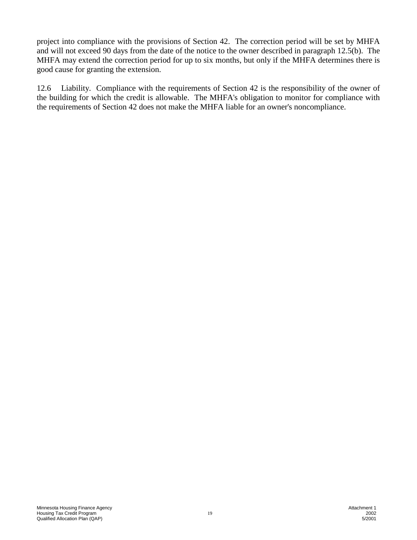project into compliance with the provisions of Section 42. The correction period will be set by MHFA and will not exceed 90 days from the date of the notice to the owner described in paragraph 12.5(b). The MHFA may extend the correction period for up to six months, but only if the MHFA determines there is good cause for granting the extension.

12.6 Liability. Compliance with the requirements of Section 42 is the responsibility of the owner of the building for which the credit is allowable. The MHFA's obligation to monitor for compliance with the requirements of Section 42 does not make the MHFA liable for an owner's noncompliance.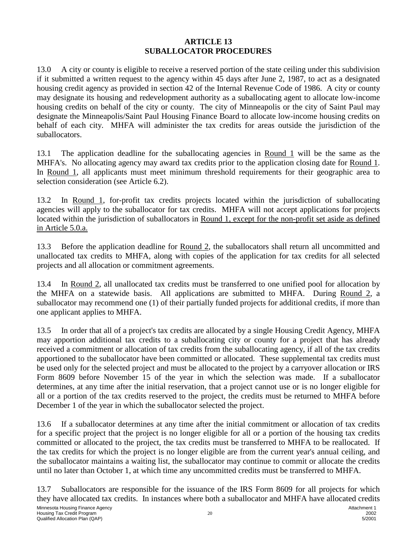## **ARTICLE 13 SUBALLOCATOR PROCEDURES**

13.0 A city or county is eligible to receive a reserved portion of the state ceiling under this subdivision if it submitted a written request to the agency within 45 days after June 2, 1987, to act as a designated housing credit agency as provided in section 42 of the Internal Revenue Code of 1986. A city or county may designate its housing and redevelopment authority as a suballocating agent to allocate low-income housing credits on behalf of the city or county. The city of Minneapolis or the city of Saint Paul may designate the Minneapolis/Saint Paul Housing Finance Board to allocate low-income housing credits on behalf of each city. MHFA will administer the tax credits for areas outside the jurisdiction of the suballocators.

13.1 The application deadline for the suballocating agencies in Round 1 will be the same as the MHFA's. No allocating agency may award tax credits prior to the application closing date for Round 1. In Round 1, all applicants must meet minimum threshold requirements for their geographic area to selection consideration (see Article 6.2).

13.2 In Round 1, for-profit tax credits projects located within the jurisdiction of suballocating agencies will apply to the suballocator for tax credits. MHFA will not accept applications for projects located within the jurisdiction of suballocators in Round 1, except for the non-profit set aside as defined in Article 5.0.a.

13.3 Before the application deadline for <u>Round 2</u>, the suballocators shall return all uncommitted and unallocated tax credits to MHFA, along with copies of the application for tax credits for all selected projects and all allocation or commitment agreements.

13.4 In Round 2, all unallocated tax credits must be transferred to one unified pool for allocation by the MHFA on a statewide basis. All applications are submitted to MHFA. During Round 2, a suballocator may recommend one (1) of their partially funded projects for additional credits, if more than one applicant applies to MHFA.

13.5 In order that all of a project's tax credits are allocated by a single Housing Credit Agency, MHFA may apportion additional tax credits to a suballocating city or county for a project that has already received a commitment or allocation of tax credits from the suballocating agency, if all of the tax credits apportioned to the suballocator have been committed or allocated. These supplemental tax credits must be used only for the selected project and must be allocated to the project by a carryover allocation or IRS Form 8609 before November 15 of the year in which the selection was made. If a suballocator determines, at any time after the initial reservation, that a project cannot use or is no longer eligible for all or a portion of the tax credits reserved to the project, the credits must be returned to MHFA before December 1 of the year in which the suballocator selected the project.

13.6 If a suballocator determines at any time after the initial commitment or allocation of tax credits for a specific project that the project is no longer eligible for all or a portion of the housing tax credits committed or allocated to the project, the tax credits must be transferred to MHFA to be reallocated. If the tax credits for which the project is no longer eligible are from the current year's annual ceiling, and the suballocator maintains a waiting list, the suballocator may continue to commit or allocate the credits until no later than October 1, at which time any uncommitted credits must be transferred to MHFA.

13.7 Suballocators are responsible for the issuance of the IRS Form 8609 for all projects for which they have allocated tax credits. In instances where both a suballocator and MHFA have allocated credits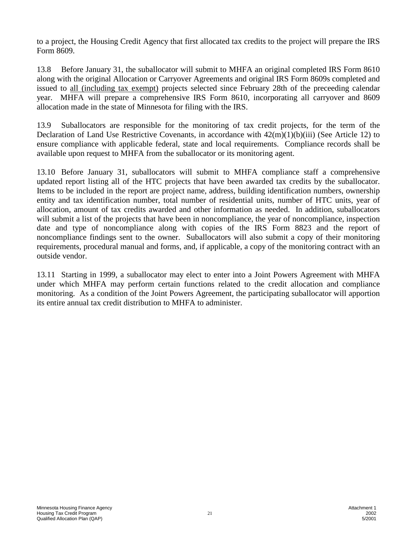to a project, the Housing Credit Agency that first allocated tax credits to the project will prepare the IRS Form 8609.

13.8 Before January 31, the suballocator will submit to MHFA an original completed IRS Form 8610 along with the original Allocation or Carryover Agreements and original IRS Form 8609s completed and issued to all (including tax exempt) projects selected since February 28th of the preceeding calendar year. MHFA will prepare a comprehensive IRS Form 8610, incorporating all carryover and 8609 allocation made in the state of Minnesota for filing with the IRS.

13.9 Suballocators are responsible for the monitoring of tax credit projects, for the term of the Declaration of Land Use Restrictive Covenants, in accordance with 42(m)(1)(b)(iii) (See Article 12) to ensure compliance with applicable federal, state and local requirements. Compliance records shall be available upon request to MHFA from the suballocator or its monitoring agent.

13.10 Before January 31, suballocators will submit to MHFA compliance staff a comprehensive updated report listing all of the HTC projects that have been awarded tax credits by the suballocator. Items to be included in the report are project name, address, building identification numbers, ownership entity and tax identification number, total number of residential units, number of HTC units, year of allocation, amount of tax credits awarded and other information as needed. In addition, suballocators will submit a list of the projects that have been in noncompliance, the year of noncompliance, inspection date and type of noncompliance along with copies of the IRS Form 8823 and the report of noncompliance findings sent to the owner. Suballocators will also submit a copy of their monitoring requirements, procedural manual and forms, and, if applicable, a copy of the monitoring contract with an outside vendor.

13.11 Starting in 1999, a suballocator may elect to enter into a Joint Powers Agreement with MHFA under which MHFA may perform certain functions related to the credit allocation and compliance monitoring. As a condition of the Joint Powers Agreement, the participating suballocator will apportion its entire annual tax credit distribution to MHFA to administer.